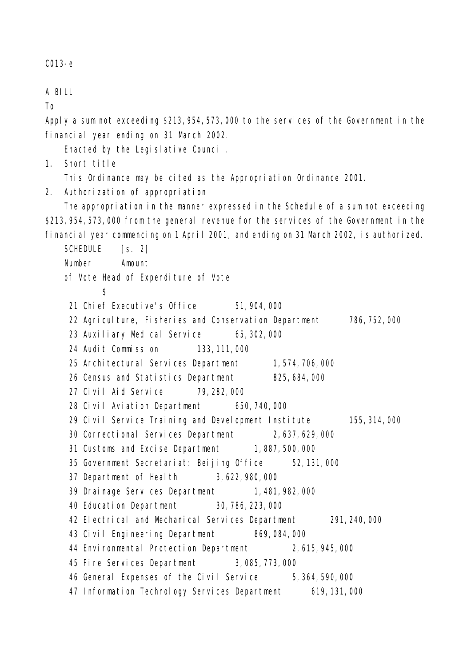C013-e

A BILL

To

Apply a sum not exceeding \$213,954,573,000 to the services of the Government in the financial year ending on 31 March 2002.

Enacted by the Legislative Council.

1. Short title

This Ordinance may be cited as the Appropriation Ordinance 2001.

2. Authorization of appropriation

The appropriation in the manner expressed in the Schedule of a sum not exceeding \$213,954,573,000 from the general revenue for the services of the Government in the financial year commencing on 1 April 2001, and ending on 31 March 2002, is authorized.

SCHEDULE [s. 2] Number Amount of Vote Head of Expenditure of Vote  $\mathbf{\hat{S}}$ 21 Chief Executive's Office 51,904,000 22 Agriculture, Fisheries and Conservation Department 786,752,000 23 Auxiliary Medical Service 65,302,000 24 Audit Commission 133,111,000 25 Architectural Services Department 1,574,706,000 26 Census and Statistics Department 825,684,000 27 Civil Aid Service 79,282,000 28 Civil Aviation Department 650,740,000 29 Civil Service Training and Development Institute 155,314,000 30 Correctional Services Department 2,637,629,000 31 Customs and Excise Department 1,887,500,000 35 Government Secretariat: Beijing Office 52,131,000 37 Department of Health 3,622,980,000 39 Drainage Services Department 1,481,982,000 40 Education Department 30,786,223,000 42 Electrical and Mechanical Services Department 291,240,000 43 Civil Engineering Department 869,084,000 44 Environmental Protection Department 2,615,945,000 45 Fire Services Department 3,085,773,000 46 General Expenses of the Civil Service 5,364,590,000 47 Information Technology Services Department 619,131,000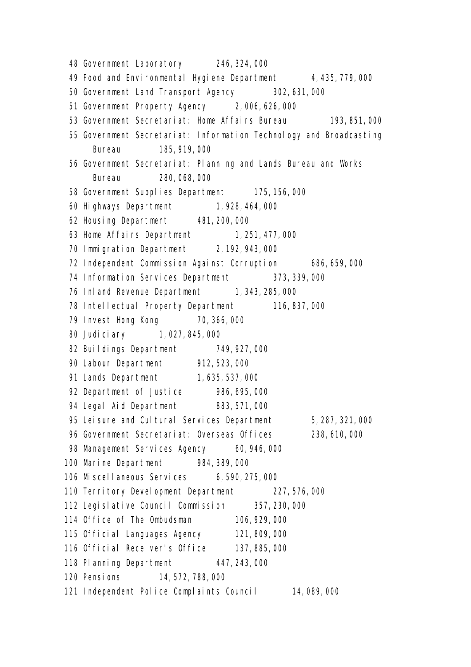48 Government Laboratory 246,324,000 49 Food and Environmental Hygiene Department 4,435,779,000 50 Government Land Transport Agency 302,631,000 51 Government Property Agency 2,006,626,000 53 Government Secretariat: Home Affairs Bureau 193,851,000 55 Government Secretariat: Information Technology and Broadcasting Bureau 185,919,000 56 Government Secretariat: Planning and Lands Bureau and Works Bureau 280,068,000 58 Government Supplies Department 175,156,000 60 Highways Department 1,928,464,000 62 Housing Department 481,200,000 63 Home Affairs Department 1, 251, 477, 000 70 Immigration Department 2,192,943,000 72 Independent Commission Against Corruption 686,659,000 74 Information Services Department 373,339,000 76 Inland Revenue Department 1, 343, 285, 000 78 Intellectual Property Department 116,837,000 79 Invest Hong Kong 70,366,000 80 Judiciary 1,027,845,000 82 Buildings Department 749,927,000 90 Labour Department 912,523,000 91 Lands Department 1,635,537,000 92 Department of Justice 986,695,000 94 Legal Aid Department 883,571,000 95 Leisure and Cultural Services Department 5,287,321,000 96 Government Secretariat: Overseas Offices 238,610,000 98 Management Services Agency 60,946,000 100 Marine Department 984,389,000 106 Miscellaneous Services 6,590,275,000 110 Territory Development Department 227,576,000 112 Legislative Council Commission 357,230,000 114 Office of The Ombudsman 106,929,000 115 Official Languages Agency 121,809,000 116 Official Receiver's Office 137,885,000 118 Planning Department 447,243,000 120 Pensions 14,572,788,000 121 Independent Police Complaints Council 14,089,000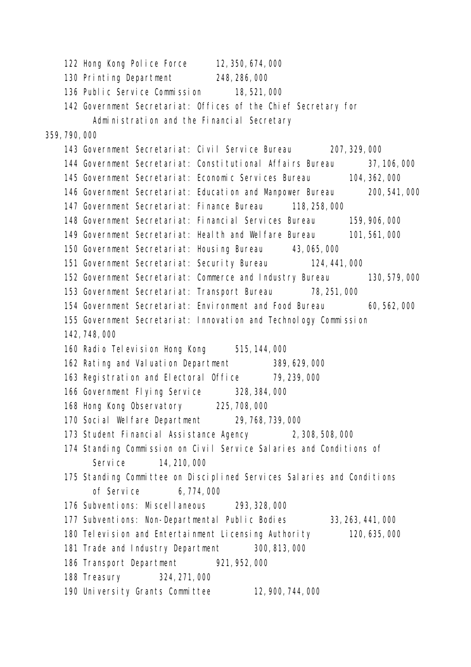122 Hong Kong Police Force 12,350,674,000 130 Printing Department 248,286,000 136 Public Service Commission 18,521,000 142 Government Secretariat: Offices of the Chief Secretary for Administration and the Financial Secretary 359,790,000 143 Government Secretariat: Civil Service Bureau 207,329,000 144 Government Secretariat: Constitutional Affairs Bureau 37,106,000 145 Government Secretariat: Economic Services Bureau 104,362,000 146 Government Secretariat: Education and Manpower Bureau 200,541,000 147 Government Secretariat: Finance Bureau 118,258,000 148 Government Secretariat: Financial Services Bureau 159,906,000 149 Government Secretariat: Health and Welfare Bureau 101,561,000 150 Government Secretariat: Housing Bureau 43,065,000 151 Government Secretariat: Security Bureau 124,441,000 152 Government Secretariat: Commerce and Industry Bureau 130,579,000 153 Government Secretariat: Transport Bureau 78,251,000 154 Government Secretariat: Environment and Food Bureau 60,562,000 155 Government Secretariat: Innovation and Technology Commission 142,748,000 160 Radio Television Hong Kong 515, 144, 000 162 Rating and Valuation Department 389,629,000 163 Registration and Electoral Office 79,239,000 166 Government Flying Service 328,384,000 168 Hong Kong Observatory 225,708,000 170 Social Welfare Department 29,768,739,000 173 Student Financial Assistance Agency 2,308,508,000 174 Standing Commission on Civil Service Salaries and Conditions of Service 14, 210, 000 175 Standing Committee on Disciplined Services Salaries and Conditions of Service 6,774,000 176 Subventions: Miscellaneous 293,328,000 177 Subventions: Non-Departmental Public Bodies 33,263,441,000 180 Television and Entertainment Licensing Authority 120,635,000 181 Trade and Industry Department 300,813,000 186 Transport Department 921,952,000 188 Treasury 324,271,000 190 University Grants Committee 12,900,744,000